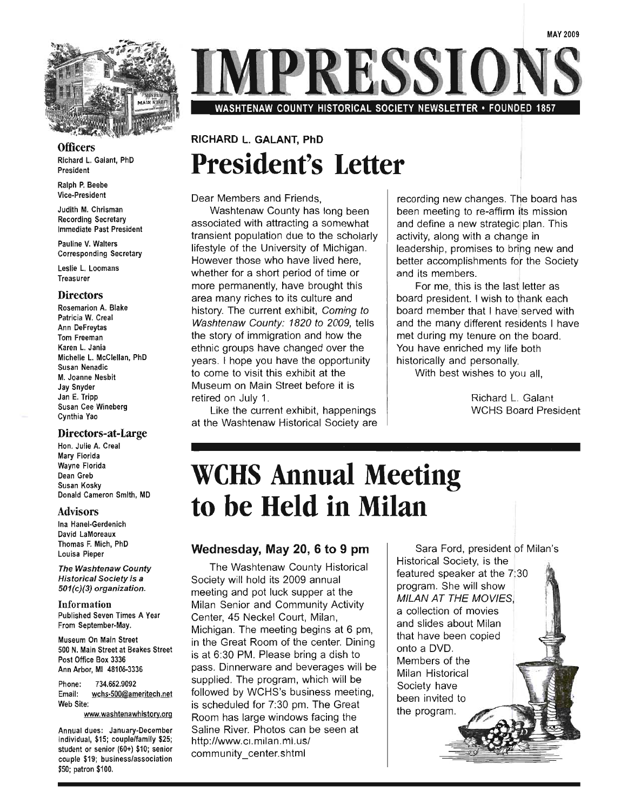

**Officers** 

Richard L. Galant, PhD President

Ralph P. Beebe Vice-President

Judith M. Chrisman Recording Secretary Immediate Past President

Pauline V. Walters Corresponding Secretary

Leslie L. Loomans **Treasurer** 

#### **Directors**

Rosemarion A. Blake Patricia W. Creal Ann DeFreytas Tom Freeman Karen L. Jania Michelle L. McClellan, PhD Susan Nenadic M. Joanne Nesbit Jay Snyder Jan E. Tripp Susan Cee Wineberg Cynthia Yao

#### Directors-at-Large

Hon. Julie A. Creal Mary Florida Wayne Florida Dean Greb Susan Kosky Donald Cameron Smith, MD

#### Advisors

Ina Hanel-Gerdenich David LaMoreaux Thomas F. Mich, PhD Louisa Pieper

The Washtenaw County **Historical Society is a** 501(c)(3) organization.

Information Published Seven Times A Year From September-May.

Museum On Main Street 500 N. Main Street at Beakes Street Post Office Box 3336 Ann Arbor, MI 48106-3336

Phone: 734.662.9092 Email: wchs-500@ameritech.net Web Site:

www.washtenawhistorv.org

Annual dues: January-December individual, \$15; couple/family \$25; student or senior (60+) \$10; senior couple \$19; business/association \$50; patron \$100.

PRESSIC

WASHTENAW COUNTY HISTORICAL SOCIETY NEWSLETTER • FOUNDED 1857

### RICHARD L. GALANT, PhD **President's Letter**

Dear Members and Friends,

Washtenaw County has long been associated with attracting a somewhat transient population due to the scholarly lifestyle of the University of Michigan. However those who have lived here, whether for a short period of time or more permanently, have brought this area many riches to its culture and history. The current exhibit, Coming to Washtenaw County: 1820 to 2009, tells the story of immigration and how the ethnic groups have changed over the years. I hope you have the opportunity to come to visit this exhibit at the Museum on Main Street before it is retired on July 1.

Like the current exhibit, happenings at the Washtenaw Historical Society are

 $\mathbf{I}$ recording new changes. The board has been meeting to re-affirm its mission and define a new strategic) plan. This activity, along with a change in leadership, promises to brihg new and etter accomplishments for the Society<br>etter accomplishments for the Society<br>nd its members.

For me, this is the last letter as board president. I wish to thank each board member that I have served with and the many different residents I have met during my tenure on the board. You have enriched my life both historically and personally.

With best wishes to you all,

Richard L. Galant WCHS Board President

## **weHS Annual Meeting to be Held in Milan**

#### Wednesday, May 20, 6 to 9 pm

The Washtenaw County Historical Society will hold its 2009 annual meeting and pot luck supper at the Milan Senior and Community Activity Center, 45 Neckel Court, Milan, Michigan. The meeting begins at 6 pm, in the Great Room of the center. Dining is at 6:30 PM. Please bring a dish to pass. Dinnerware and beverages will be supplied. The program, which will be followed by WCHS's business meeting, is scheduled for 7:30 pm. The Great Room has large windows facing the Saline River. Photos can be seen at http://www.ci.milan.mi.us/ community\_center.shtml

Sara Ford, president of Milan's Historical Society, is the featured speaker at the 7:30 program. She will show **MILAN AT THE MOVIES.** a collection of movies and slides about Milan that have been copied onto a DVD. Members of the Milan Historical Society have been invited to the program.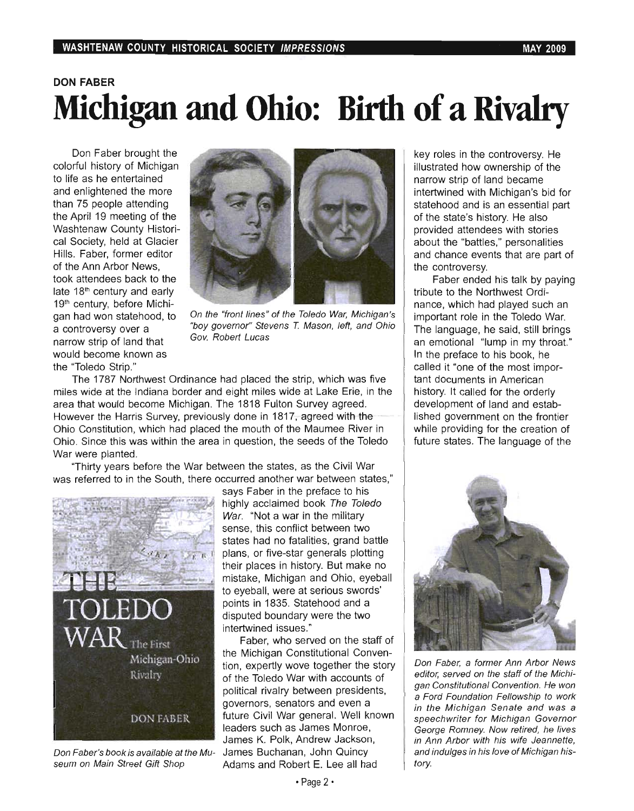Don Faber brought the colorful history of Michigan to life as he entertained and enlightened the more than 75 people attending the April 19 meeting of the Washtenaw County Historical Society, held at Glacier Hills. Faber, former editor of the Ann Arbor News, took attendees back to the late 18<sup>th</sup> century and early 19<sup>th</sup> century, before Michigan hadwon statehood, to a controversy over a narrow strip of land that would become known as the "Toledo Strip."



On the "front lines" of the Toledo War, Michigan's "boy governor" Stevens T. Mason, left, and Ohio Gov. Robert Lucas

The 1787 Northwest Ordinance had placed the strip, which was five miles wide at the Indiana border and eight miles wide at Lake Erie, in the area that would become Michigan. The 1818 Fulton Survey agreed. However the Harris Survey, previously done in 1817, agreed with the Ohio Constitution, which had placed the mouth of the Maumee River in Ohio. Since this was within the area in question, the seeds of the Toledo War were planted.

"Thirty years before the War between the states, as the Civil War was referred to in the South, there occurred another war between states,"



seum on Main Street Gift Shop Adams and Robert E. Lee all had

says Faber in the preface to his highly acclaimed book The Toledo War. "Not a war in the military sense, this conflict between two states had no fatalities, grand battle plans, or five-star generals plotting their places in history. But make no mistake, Michigan and Ohio, eyeball to eyeball, were at serious swords' points in 1835. Statehood and a disputed boundary were the two intertwined issues."

Faber, who served on the staff of the Michigan Constitutional Convention, expertly wove together the story of the Toledo War with accounts of political rivalry between presidents, governors, senators and even a future Civil War general. Well known leaders such as James Monroe, James K. Polk, Andrew Jackson, Don Faber's book is available at the Mu- James Buchanan, John Quincy

key roles in the controversy. He illustrated how ownership of the narrow strip of land became intertwined with Michigan'S bid for statehood and is an essential part of the state's history. He also provided attendees with stories about the "battles," personalities and chance events that are part of the controversy.

Faber ended his talk by paying tribute to the Northwest Ordinance, which had played such an important role in the Toledo War. The language, he said, still brings an emotional "lump in my throat." In the preface to his book, he called it "one of the most important documents in American history. It called for the orderly development of land and established government on the frontier while providing for the creation of future states. The language of the



Don Faber, a former Ann Arbor News editor, served on the staff of the Michigan Constitutional Convention. He won a Ford Foundation Fellowship to work in the Michigan Senate and was a speech writer for Michigan Governor George Romney. Now retired, he lives in Ann Arbor with his wife Jeannette, and indulges in his love of Michigan history.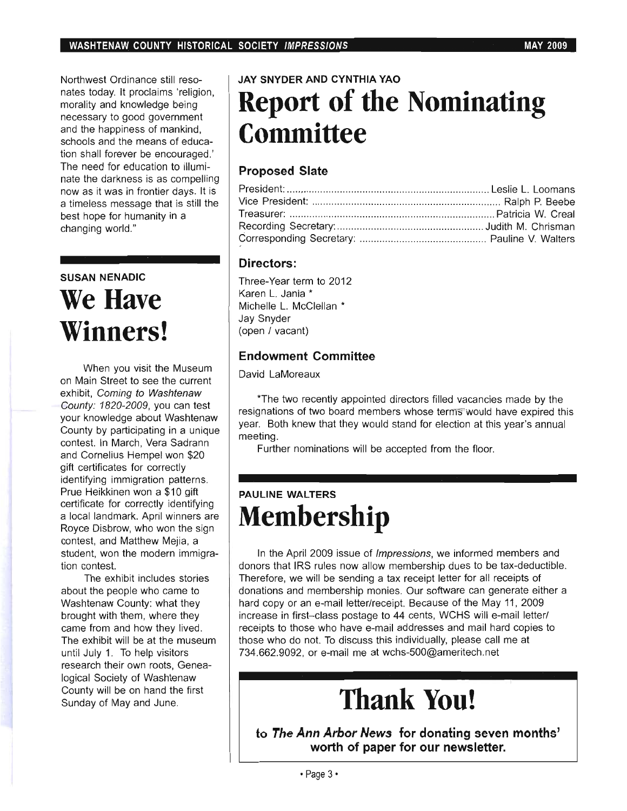Northwest Ordinance still resonates today. It proclaims 'religion, morality and knowledge being necessary to good government and the happiness of mankind, schools and the means of education shall forever be encouraged.' The need for education to illuminate the darkness is as compelling now as it was in frontier days. It is a timeless message that is still the best hope for humanity in a changing world."

## **SUSAN NENADIC We Have Winners!**

When you visit the Museum on Main Street to see the current exhibit, Coming to Washtenaw County: 1820-2009, you can test your knowledge about Washtenaw County by participating in a unique contest. In March, Vera Sadrann and Cornelius Hempel won \$20 gift certificates for correctly identifying immigration patterns. Prue Heikkinen won a \$10 gift certificate for correctly identifying a local landmark. April winners are Royce Disbrow, who won the sign contest, and Matthew Mejia, a student, won the modern immigration contest.

The exhibit includes stories about the people who came to Washtenaw County: what they brought with them, where they came from and how they lived. The exhibit will be at the museum until July 1. To help visitors research their own roots, Genealogical Society of Washtenaw County will be on hand the first Sunday of May and June.

## **JAY SNYDER AND CYNTHIA YAO Report of the Nominating Committee**

### **Proposed Slate**

#### **Directors:**

Three-Year term to 2012 Karen L. Jania \* Michelle L. McClellan \* Jay Snyder (open / vacant)

### **Endowment Committee**

David LaMoreaux

\*The two recently appointed directors filled vacancies made by the resignations of two board members whose terms would have expired this year. Both knew that they would stand for election at this year's annual meeting.

Further nominations will be accepted from the floor.

### **PAULINE WALTERS Membership**

In the April 2009 issue of *Impressions*, we informed members and donors that IRS rules now allow membership dues to be tax-deductible. Therefore, we will be sending a tax receipt letter for all receipts of donations and membership monies. Our software can generate either a hard copy or an e-mail letter/receipt. Because of the May 11, 2009 increase in first-class postage to 44 cents, WCHS will e-mail letter/ receipts to those who have e-mail addresses and mail hard copies to those who do not. To discuss this individually, please call me at 734.662.9092, or e-mail me at wchs-500@ameritech.net

# **Thank You!**

**to The Ann Arbor News for donating seven months'**  worth of paper for our newsletter.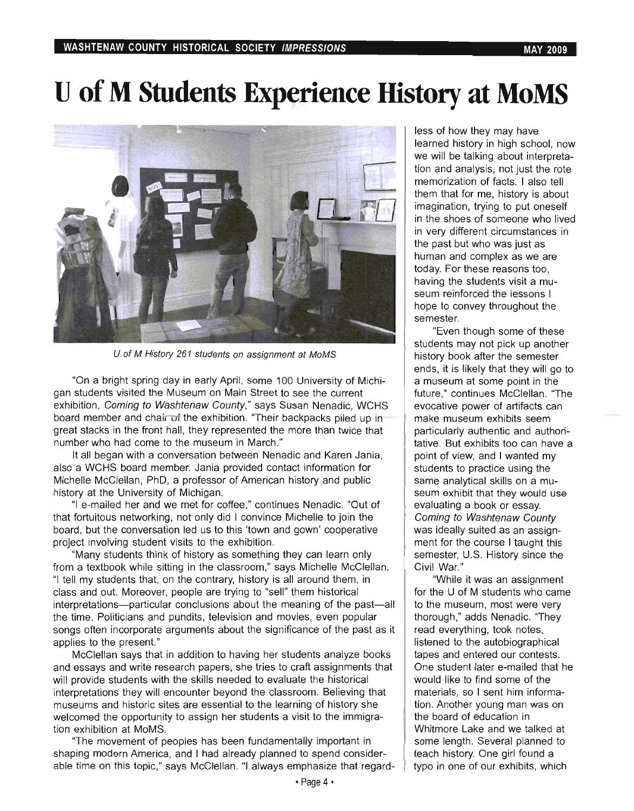## **U of M Students Experience History at MoMS**



U of M History 261 students on assignment at MoMS

"On a bright spring day in early April, some 100 University of Michigan students visited the Museum on Main Street to see the current exhibition, Coming to Washtenaw County," says Susan Nenadic, WCHS board member and chain of the exhibition. "Their backpacks piled up in great stacks in the front hall, they represented the more than twice that number who had come to the museum in March."

It all began with a conversation between Nenadic and Karen Jania, also a WCHS board member. Jania provided contact information for Michelle McClellan, PhD, a professor of American history and public history at the University of Michigan.

"I e-mailed her and we met for coffee," continues Nenadic. "Out of that fortuitous networking, not only did I convince Michelle to join the board, but the conversation led us to this 'town and gown' cooperative project involving student visits to the exhibition.

"Many students think of history as something they can learn only from a textbook while sitting in the classroom," says Michelle McClellan. "I tell my students that, on the contrary, history is all around them, in class and out. Moreover, people are trying to "sell" them historical interpretations- particular conclusions about the meaning of the past-all the time. Politicians and pundits, television and movies, even popular songs often incorporate arguments about the significance of the past as it applies to the present."

McClellan says that in addition to having her students analyze books and essays and write research papers, she tries to craft assignments that will provide students with the skills needed to evaluate the historical interpretations they will encounter beyond the classroom. Believing that museums and historic sites are essential to the learning of history she welcomed the opportunity to assign her students a visit to the immigration exhibition at MoMS.

"The movement of peoples has been fundamentally important in shaping modern America, and I had already planned to spend considerable time on this topic," says McClellan. "I always emphasize that regardless of how they may have learned history in high school, now we will be talking about interpretation and analysis, not just the rote memorization of facts. I also tell them that for me, history is about imagination, trying to put oneself in the shoes of someone who lived in very different circumstances in the past but who was just as human and complex as we are today. For these reasons too, having the students visit a museum reinforced the lessons I hope to convey throughout the semester.

"Even though some of these students may not pick up another history book after the semester ends, it is likely that they will go to a museum at some point in the future," continues McClellan. "The evocative power of artifacts can make museum exhibits seem particularly authentic and authoritative. But exhibits too can have a point of view, and I wanted my students to practice using the same analytical skills on a museum exhibit that they would use evaluating a book or essay. Coming to Washtenaw County was ideally suited as an assignment for the course I taught this semester, U.S. History since the Civil War."

"While it was an assignment for the U of M students who came to the museum, most were very thorough," adds Nenadic. "They read everything, took notes, listened to the autobiographical tapes and entered our contests. One student later e-mailed that he would like to find some of the materials, so I sent him information. Another young man was on the board of education in Whitmore Lake and we talked at some length. Several planned to teach history. One girl found a typo in one of our exhibits, which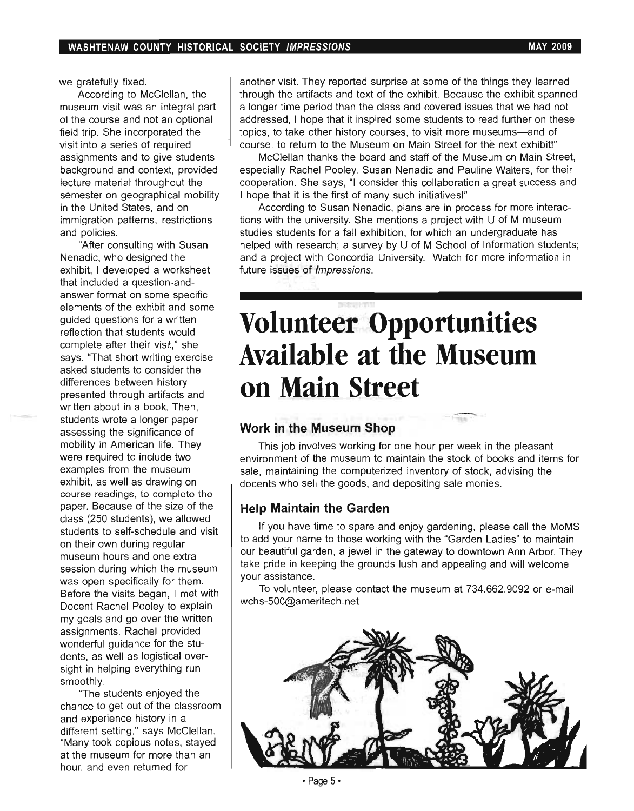we gratefully fixed.

According to McClellan, the museum visit was an integral part of the course and not an optional field trip. She incorporated the visit into a series of required assignments and to give students background and context, provided lecture material throughout the semester on geographical mobility in the United States, and on immigration patterns, restrictions and policies.

"After consulting with Susan Nenadic, who designed the exhibit, I developed a worksheet that included a question-andanswer format on some specific elements of the exhibit and some guided questions for a written reflection that students would complete after their visit," she says. "That short writing exercise asked students to consider the differences between history presented through artifacts and written about in a book. Then, students wrote a longer paper assessing the significance of mobility in American life. They were required to include two examples from the museum exhibit, as well as drawing on course readings, to complete the paper. Because of the size of the class (250 students), we allowed students to self-schedule and visit on their own during regular museum hours and one extra session during which the museum was open specifically for them. Before the visits began, I met with Docent Rachel Pooley to explain my goals and go over the written assignments. Rachel provided wonderful guidance for the students, as well as logistical oversight in helping everything run smoothly.

"The students enjoyed the chance to get out of the classroom and experience history in a different setting," says McClellan. "Many took copious notes, stayed at the museum for more than an hour, and even returned for

another visit. They reported surprise at some of the things they learned through the artifacts and text of the exhibit. Because the exhibit spanned a longer time period than the class and covered issues that we had not addressed, I hope that it inspired some students to read further on these topics, to take other history courses, to visit more museums-and of course, to return to the Museum on Main Street for the next exhibit!"

McClellan thanks the board and staff of the Museum on Main Street, especially Rachel Pooley, Susan Nenadic and Pauline Walters, for their cooperation. She says, "I consider this collaboration a great success and I hope that it is the first of many such initiatives!"

According to Susan Nenadic, plans are in process for more interactions with the university. She mentions a project with U of M museum studies students for a fall exhibition, for which an undergraduate has helped with research; a survey by U of M School of Information students; and a project with Concordia University. Watch for more information in future issues of Impressions.

# **Volunteer Opportunities Available at the Museum on Main Street**

#### **Work in the Museum Shop**

This job involves working for one hour per week in the pleasant environment of the museum to maintain the stock of books and items for sale, maintaining the computerized inventory of stock, advising the docents who sell the goods, and depositing sale monies.

#### **Help Maintain the Garden**

If you have time to spare and enjoy gardening, please call the MoMS to add your name to those working with the "Garden Ladies" to maintain our beautiful garden, a jewel in the gateway to downtown Ann Arbor. They take pride in keeping the grounds lush and appealing and will welcome your assistance.

To volunteer, please contact the museum at 734.662.9092 or e-mail wchs-500@ameritech.net

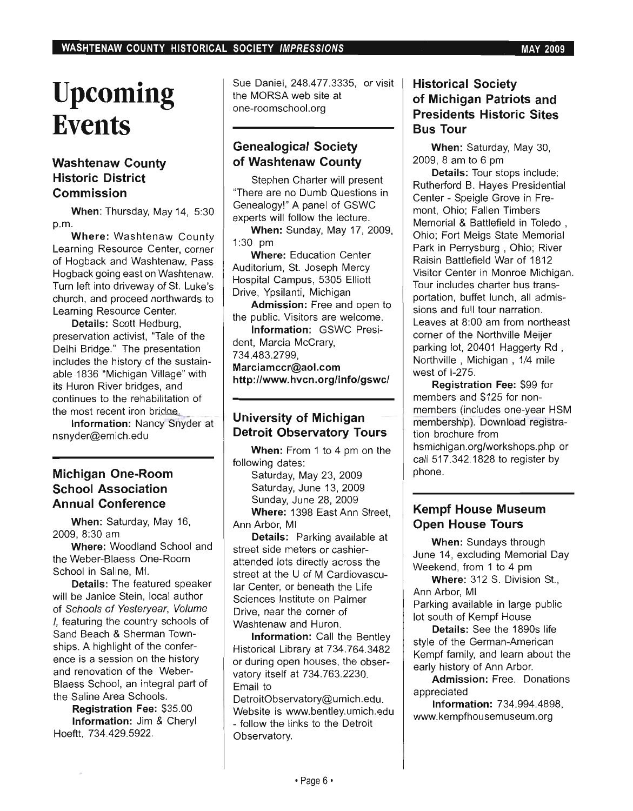# **Upcoming Events**

### **Washtenaw County Historic District Commission**

When: Thursday, May 14, 5:30 p.m.

Where: Washtenaw County Learning Resource Center, corner of Hogback and Washtenaw. Pass Hogback going east on Washtenaw. Turn left into driveway of St. Luke's church, and proceed northwards to Learning Resource Center.

Details: Scott Hedburg, preservation activist, "Tale of the Delhi Bridge." The presentation includes the history of the sustainable 1836 "Michigan Village" with its Huron River bridges, and continues to the rehabilitation of<br>he most recent iron bridge.

Information: Nancy Snyder at nsnyder@emich.edu

#### **Michigan One-Room School Association Annual Conference**

When: Saturday, May 16, 2009, 8:30 am

Where: Woodland School and the Weber-Blaess One-Room School in Saline, MI.

Details: The featured speaker will be Janice Stein, local author of Schools of Yesteryear, Volume I, featuring the country schools of Sand Beach & Sherman Townships. A highlight of the conference is a session on the history and renovation of the Weber-Blaess School, an integral part of the Saline Area Schools.

Registration Fee: \$35.00 Information: Jim & Cheryl Hoeftt, 734.429.5922.

Sue Daniel, 248.477.3335, or visit the MORSA web site at one-roomschool.org

#### **Genealogical Society of Washtenaw County**

Stephen Charter will present 'There are no Dumb Questions in Genealogy!" A panel of GSWC experts will follow the lecture.

When: Sunday, May 17, 2009, 1:30 pm

Where: Education Center Auditorium, St. Joseph Mercy Hospital Campus, 5305 Elliott Drive, Ypsilanti, Michigan

Admission: Free and open to the public. Visitors are welcome.

Information: GSWC President, Marcia McCrary,

734.483.2799,

Marciamccr@aol.com http://www.hvcn.org/info/gswc/

#### **University of Michigan Detroit Observatory Tours**

When: From 1 to 4 pm on the following dates:

Saturday, May 23, 2009 Saturday, June 13, 2009 Sunday, June 28, 2009 Where: 1398 East Ann Street, Ann Arbor, MI

Details: Parking available at street side meters or cashierattended lots directly across the street at the U of M Cardiovascular Center, or beneath the Life Sciences Institute on Palmer Drive, near the corner of Washtenaw and Huron.

Information: Call the Bentley Historical Library at 734.764.3482 or during open houses, the observatory itself at 734.763.2230. Email to

DetroitObservatory@umich.edu. Website is www.bentley.umich.edu - follow the links to the Detroit Observatory.

#### **Historical Society of Michigan Patriots and Presidents Historic Sites Bus Tour**

When: Saturday, May 30, 2009, 8 am to 6 pm

Details: Tour stops include: Rutherford B. Hayes Presidential Center - Speigle Grove in Fremont, Ohio; Fallen Timbers Memorial & Battlefield in Toledo , Ohio; Fort Meigs State Memorial Park in Perrysburg , Ohio; River Raisin Battlefield War of 1812 Visitor Center in Monroe Michigan. Tour includes charter bus transportation, buffet lunch, all admissions and full tour narration. Leaves at 8:00 am from northeast corner of the Northville Meijer parking lot, 20401 Haggerty Rd , Northville , Michigan , 1/4 mile west of 1-275.

Registration Fee: \$99 for members and \$125 for nonmembers (includes one-year HSM membership). Download registration brochure from hsmichigan.org/workshops.php or call 517.342.1828 to register by phone.

#### **Kempf House Museum Open House Tours**

When: Sundays through June 14, excluding Memorial Day Weekend, from 1 to 4 pm

Where: 312 S. Division St., Ann Arbor, MI Parking available in large public lot south of Kempf House

Details: See the 1890s life style of the German-American Kempf family, and learn about the early history of Ann Arbor.

Admission: Free. Donations appreciated

Information: 734.994.4898, www.kempfhousemuseum.org